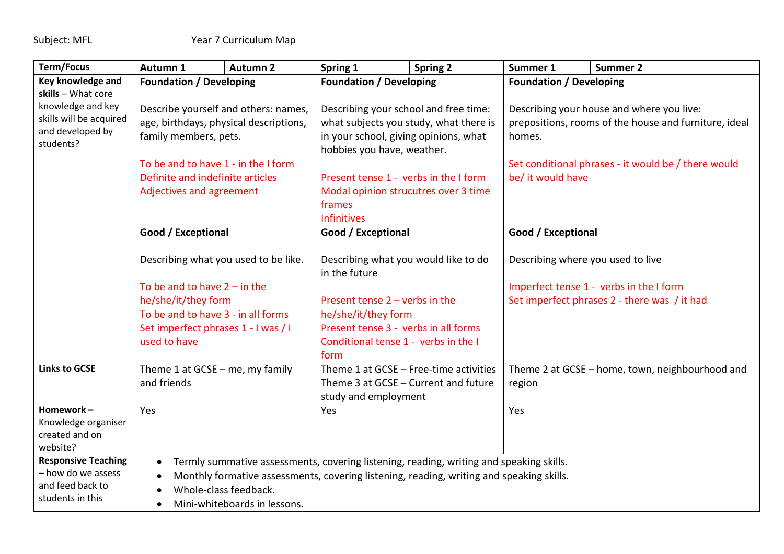| <b>Term/Focus</b>                                                                                   | Autumn 1                                                                                                                                                                                                                                                               | <b>Autumn 2</b>                                                                                                                                                                          | Spring 1                                                                                                                                                                                                                                          | <b>Spring 2</b>                                                                                                                                                                                                                                    | Summer 1                                                                                                                                                                                 | <b>Summer 2</b>                                                                                                                                                                 |
|-----------------------------------------------------------------------------------------------------|------------------------------------------------------------------------------------------------------------------------------------------------------------------------------------------------------------------------------------------------------------------------|------------------------------------------------------------------------------------------------------------------------------------------------------------------------------------------|---------------------------------------------------------------------------------------------------------------------------------------------------------------------------------------------------------------------------------------------------|----------------------------------------------------------------------------------------------------------------------------------------------------------------------------------------------------------------------------------------------------|------------------------------------------------------------------------------------------------------------------------------------------------------------------------------------------|---------------------------------------------------------------------------------------------------------------------------------------------------------------------------------|
| Key knowledge and                                                                                   | <b>Foundation / Developing</b>                                                                                                                                                                                                                                         |                                                                                                                                                                                          | <b>Foundation / Developing</b>                                                                                                                                                                                                                    |                                                                                                                                                                                                                                                    | <b>Foundation / Developing</b>                                                                                                                                                           |                                                                                                                                                                                 |
| skills - What core<br>knowledge and key<br>skills will be acquired<br>and developed by<br>students? | Describe yourself and others: names,<br>age, birthdays, physical descriptions,<br>family members, pets.<br>To be and to have 1 - in the I form<br>Definite and indefinite articles<br>Adjectives and agreement                                                         |                                                                                                                                                                                          | Describing your school and free time:<br>what subjects you study, what there is<br>in your school, giving opinions, what<br>hobbies you have, weather.<br>Present tense 1 - verbs in the I form<br>Modal opinion strucutres over 3 time<br>frames |                                                                                                                                                                                                                                                    | Describing your house and where you live:<br>prepositions, rooms of the house and furniture, ideal<br>homes.<br>Set conditional phrases - it would be / there would<br>be/ it would have |                                                                                                                                                                                 |
|                                                                                                     |                                                                                                                                                                                                                                                                        |                                                                                                                                                                                          |                                                                                                                                                                                                                                                   |                                                                                                                                                                                                                                                    |                                                                                                                                                                                          |                                                                                                                                                                                 |
|                                                                                                     | Good / Exceptional                                                                                                                                                                                                                                                     |                                                                                                                                                                                          | <b>Infinitives</b><br>Good / Exceptional                                                                                                                                                                                                          |                                                                                                                                                                                                                                                    | Good / Exceptional                                                                                                                                                                       |                                                                                                                                                                                 |
| <b>Links to GCSE</b>                                                                                | he/she/it/they form<br>used to have                                                                                                                                                                                                                                    | Describing what you used to be like.<br>To be and to have $2 - in$ the<br>To be and to have 3 - in all forms<br>Set imperfect phrases 1 - I was / I<br>Theme 1 at $GCSE$ – me, my family |                                                                                                                                                                                                                                                   | Describing what you would like to do<br>in the future<br>Present tense $2$ – verbs in the<br>he/she/it/they form<br>Present tense 3 - verbs in all forms<br>Conditional tense 1 - verbs in the I<br>form<br>Theme 1 at GCSE - Free-time activities |                                                                                                                                                                                          | Describing where you used to live<br>Imperfect tense 1 - verbs in the I form<br>Set imperfect phrases 2 - there was / it had<br>Theme 2 at GCSE - home, town, neighbourhood and |
|                                                                                                     | and friends                                                                                                                                                                                                                                                            |                                                                                                                                                                                          | Theme 3 at GCSE - Current and future<br>study and employment                                                                                                                                                                                      |                                                                                                                                                                                                                                                    | region                                                                                                                                                                                   |                                                                                                                                                                                 |
| Homework-<br>Knowledge organiser<br>created and on<br>website?                                      | Yes                                                                                                                                                                                                                                                                    |                                                                                                                                                                                          | Yes                                                                                                                                                                                                                                               |                                                                                                                                                                                                                                                    | Yes                                                                                                                                                                                      |                                                                                                                                                                                 |
| <b>Responsive Teaching</b><br>- how do we assess<br>and feed back to<br>students in this            | Termly summative assessments, covering listening, reading, writing and speaking skills.<br>$\bullet$<br>Monthly formative assessments, covering listening, reading, writing and speaking skills.<br>Whole-class feedback.<br>Mini-whiteboards in lessons.<br>$\bullet$ |                                                                                                                                                                                          |                                                                                                                                                                                                                                                   |                                                                                                                                                                                                                                                    |                                                                                                                                                                                          |                                                                                                                                                                                 |